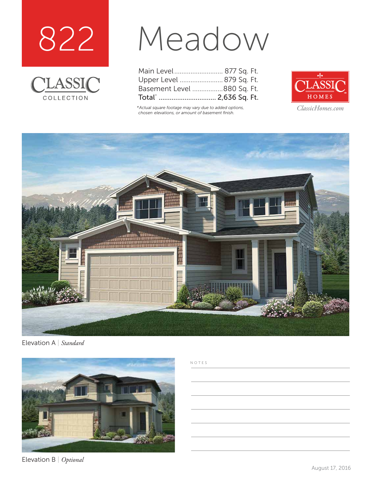



# Meadow

| Main Level 877 Sq. Ft.     |  |  |
|----------------------------|--|--|
| Upper Level  879 Sq. Ft.   |  |  |
| Basement Level 880 Sq. Ft. |  |  |
|                            |  |  |

*\*Actual square footage may vary due to added options, chosen elevations, or amount of basement finish.*



*ClassicHomes.com*



Elevation A | *Standard*



Elevation B | *Optional*

#### NOTES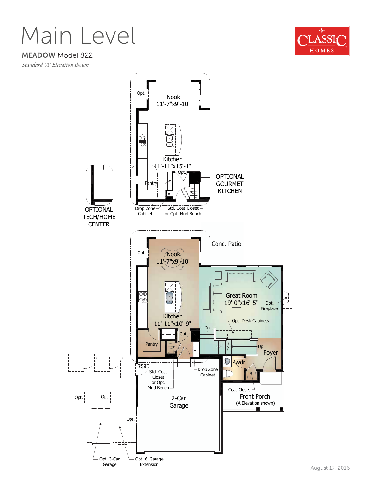Main Level



MEADOW Model 822

*Standard 'A' Elevation shown*

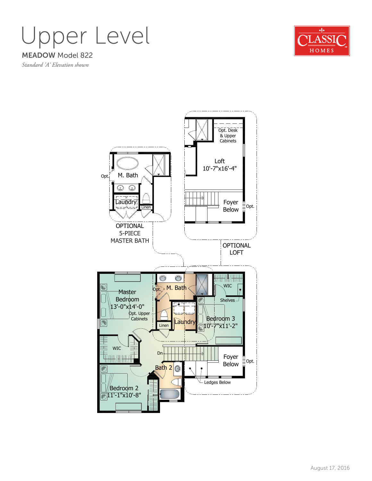### MEADOW Model 822 Upper Level



*Standard 'A' Elevation shown*